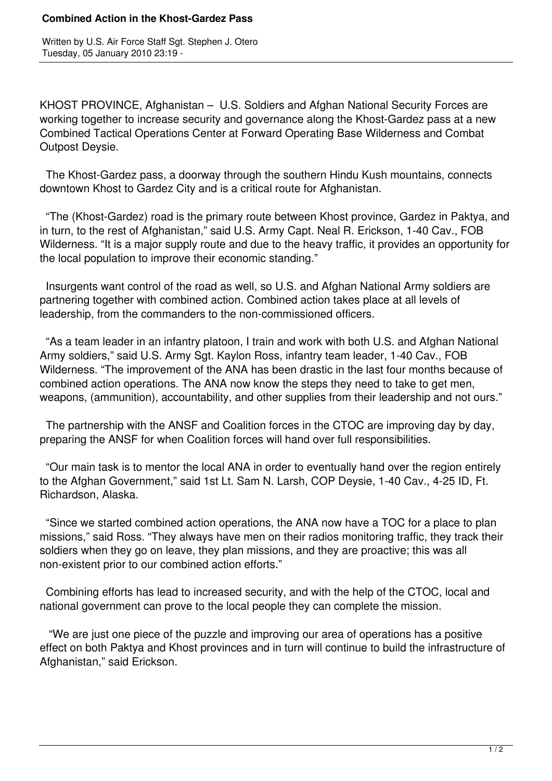## **Combined Action in the Khost-Gardez Pass**

Written by U.S. Air Force Staff Sgt. Stephen J. Otero Tuesday, 05 January 2010 23:19 -

KHOST PROVINCE, Afghanistan – U.S. Soldiers and Afghan National Security Forces are working together to increase security and governance along the Khost-Gardez pass at a new Combined Tactical Operations Center at Forward Operating Base Wilderness and Combat Outpost Deysie.

 The Khost-Gardez pass, a doorway through the southern Hindu Kush mountains, connects downtown Khost to Gardez City and is a critical route for Afghanistan.

 "The (Khost-Gardez) road is the primary route between Khost province, Gardez in Paktya, and in turn, to the rest of Afghanistan," said U.S. Army Capt. Neal R. Erickson, 1-40 Cav., FOB Wilderness. "It is a major supply route and due to the heavy traffic, it provides an opportunity for the local population to improve their economic standing."

 Insurgents want control of the road as well, so U.S. and Afghan National Army soldiers are partnering together with combined action. Combined action takes place at all levels of leadership, from the commanders to the non-commissioned officers.

 "As a team leader in an infantry platoon, I train and work with both U.S. and Afghan National Army soldiers," said U.S. Army Sgt. Kaylon Ross, infantry team leader, 1-40 Cav., FOB Wilderness. "The improvement of the ANA has been drastic in the last four months because of combined action operations. The ANA now know the steps they need to take to get men, weapons, (ammunition), accountability, and other supplies from their leadership and not ours."

 The partnership with the ANSF and Coalition forces in the CTOC are improving day by day, preparing the ANSF for when Coalition forces will hand over full responsibilities.

 "Our main task is to mentor the local ANA in order to eventually hand over the region entirely to the Afghan Government," said 1st Lt. Sam N. Larsh, COP Deysie, 1-40 Cav., 4-25 ID, Ft. Richardson, Alaska.

 "Since we started combined action operations, the ANA now have a TOC for a place to plan missions," said Ross. "They always have men on their radios monitoring traffic, they track their soldiers when they go on leave, they plan missions, and they are proactive; this was all non-existent prior to our combined action efforts."

 Combining efforts has lead to increased security, and with the help of the CTOC, local and national government can prove to the local people they can complete the mission.

 "We are just one piece of the puzzle and improving our area of operations has a positive effect on both Paktya and Khost provinces and in turn will continue to build the infrastructure of Afghanistan," said Erickson.